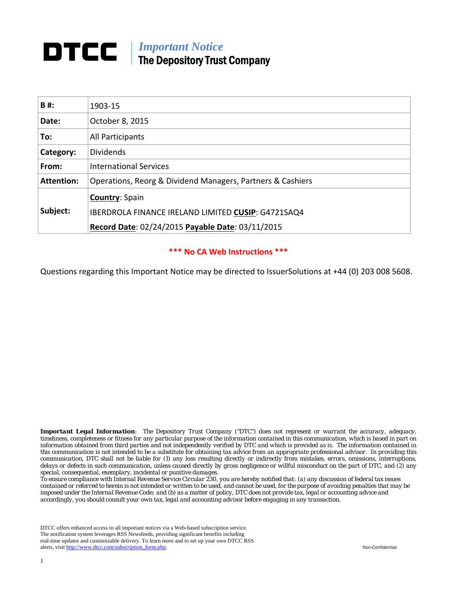# *Important Notice*  The Depository Trust Company

| B#:               | 1903-15                                                    |  |
|-------------------|------------------------------------------------------------|--|
| Date:             | October 8, 2015                                            |  |
| To:               | All Participants                                           |  |
| Category:         | <b>Dividends</b>                                           |  |
| From:             | <b>International Services</b>                              |  |
| <b>Attention:</b> | Operations, Reorg & Dividend Managers, Partners & Cashiers |  |
|                   | <b>Country: Spain</b>                                      |  |
| Subject:          | IBERDROLA FINANCE IRELAND LIMITED CUSIP: G4721SAQ4         |  |
|                   | Record Date: 02/24/2015 Payable Date: 03/11/2015           |  |

## **\*\*\* No CA Web Instructions \*\*\***

Questions regarding this Important Notice may be directed to IssuerSolutions at +44 (0) 203 008 5608.

*Important Legal Information: The Depository Trust Company ("DTC") does not represent or warrant the accuracy, adequacy, timeliness, completeness or fitness for any particular purpose of the information contained in this communication, which is based in part on information obtained from third parties and not independently verified by DTC and which is provided as is. The information contained in this communication is not intended to be a substitute for obtaining tax advice from an appropriate professional advisor. In providing this communication, DTC shall not be liable for (1) any loss resulting directly or indirectly from mistakes, errors, omissions, interruptions, delays or defects in such communication, unless caused directly by gross negligence or willful misconduct on the part of DTC, and (2) any special, consequential, exemplary, incidental or punitive damages.* 

*To ensure compliance with Internal Revenue Service Circular 230, you are hereby notified that: (a) any discussion of federal tax issues contained or referred to herein is not intended or written to be used, and cannot be used, for the purpose of avoiding penalties that may be imposed under the Internal Revenue Code; and (b) as a matter of policy, DTC does not provide tax, legal or accounting advice and accordingly, you should consult your own tax, legal and accounting advisor before engaging in any transaction.* 

DTCC offers enhanced access to all important notices via a Web-based subscription service. The notification system leverages RSS Newsfeeds, providing significant benefits including real-time updates and customizable delivery. To learn more and to set up your own DTCC RSS alerts, visit http://www.dtcc.com/subscription\_form.php. Non-Confidential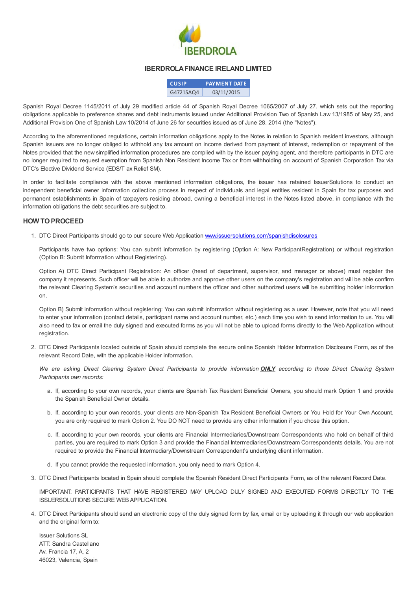

#### IBERDROLAFINANCE IRELAND LIMITED

| <b>CUSIP</b> | <b>PAYMENT DATE</b> |
|--------------|---------------------|
| G4721SAQ4    | 03/11/2015          |

Spanish Royal Decree 1145/2011 of July 29 modified article 44 of Spanish Royal Decree 1065/2007 of July 27, which sets out the reporting obligations applicable to preference shares and debt instruments issued under Additional Provision Two of Spanish Law 13/1985 of May 25, and Additional Provision One of Spanish Law 10/2014 of June 26 for securities issued as of June 28, 2014 (the "Notes").

According to the aforementioned regulations, certain information obligations apply to the Notes in relation to Spanish resident investors, although Spanish issuers are no longer obliged to withhold any tax amount on income derived from payment of interest, redemption or repayment of the Notes provided that the new simplified information procedures are complied with by the issuer paying agent, and therefore participants in DTC are no longer required to request exemption from Spanish Non Resident Income Tax or from withholding on account of Spanish Corporation Tax via DTC's Elective Dividend Service (EDS/T ax Relief SM).

In order to facilitate compliance with the above mentioned information obligations, the issuer has retained IssuerSolutions to conduct an independent beneficial owner information collection process in respect of individuals and legal entities resident in Spain for tax purposes and permanent establishments in Spain of taxpayers residing abroad, owning a beneficial interest in the Notes listed above, in compliance with the information obligations the debt securities are subject to.

#### HOW TOPROCEED

1. DTC Direct Participants should go to our secure Web Application [www.issuersolutions.com/spanishdisclosures](http://www.issuersolutions.com/spanishdisclosures)

Participants have two options: You can submit information by registering (Option A: New ParticipantRegistration) or without registration (Option B: Submit Information without Registering).

Option A) DTC Direct Participant Registration: An officer (head of department, supervisor, and manager or above) must register the company it represents. Such officer will be able to authorize and approve other users on the company's registration and will be able confirm the relevant Clearing System's securities and account numbers the officer and other authorized users will be submitting holder information on.

Option B) Submit information without registering: You can submit information without registering as a user. However, note that you will need to enter your information (contact details, participant name and account number, etc.) each time you wish to send information to us. You will also need to fax or email the duly signed and executed forms as you will not be able to upload forms directly to the Web Application without registration.

2. DTC Direct Participants located outside of Spain should complete the secure online Spanish Holder Information Disclosure Form, as of the relevant Record Date, with the applicable Holder information.

We are asking Direct Clearing System Direct Participants to provide information **ONLY** according to those Direct Clearing System Participants own records:

- a. If, according to your own records, your clients are Spanish Tax Resident Beneficial Owners, you should mark Option 1 and provide the Spanish Beneficial Owner details.
- b. If, according to your own records, your clients are Non-Spanish Tax Resident Beneficial Owners or You Hold for Your Own Account, you are only required to mark Option 2. You DO NOT need to provide any other information if you chose this option.
- c. If, according to your own records, your clients are Financial Intermediaries/Downstream Correspondents who hold on behalf of third parties, you are required to mark Option 3 and provide the Financial Intermediaries/Downstream Correspondents details. You are not required to provide the Financial Intermediary/Downstream Correspondent's underlying client information.
- d. If you cannot provide the requested information, you only need to mark Option 4.
- 3. DTC Direct Participants located in Spain should complete the Spanish Resident Direct Participants Form, as of the relevant Record Date.

IMPORTANT: PARTICIPANTS THAT HAVE REGISTERED MAY UPLOAD DULY SIGNED AND EXECUTED FORMS DIRECTLY TO THE ISSUERSOLUTIONS SECURE WEB APPLICATION.

4. DTC Direct Participants should send an electronic copy of the duly signed form by fax, email or by uploading it through our web application and the original form to:

Issuer Solutions SL ATT: Sandra Castellano Av. Francia 17, A, 2 46023, Valencia, Spain